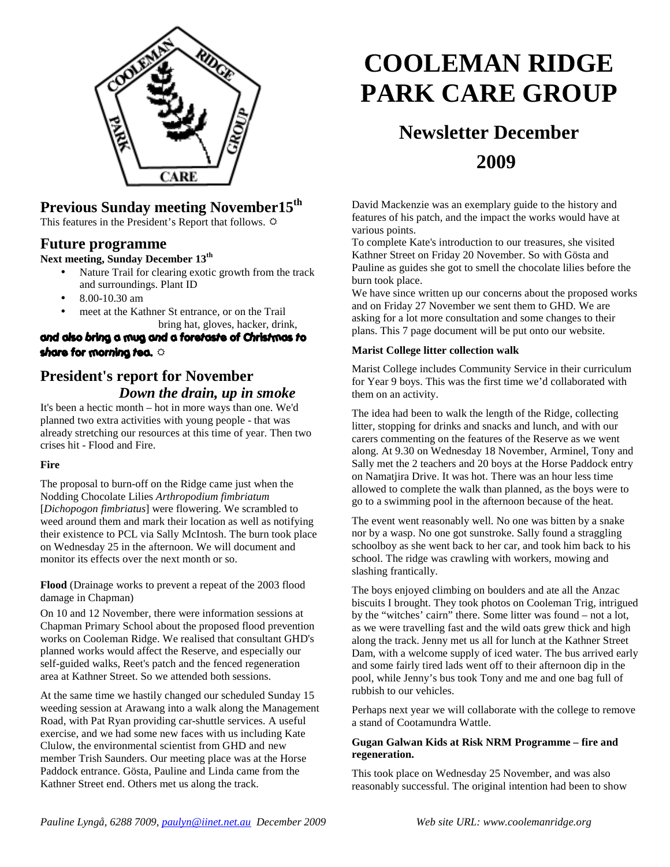

## **Previous Sunday meeting November15th**

This features in the President's Report that follows.  $\ddot{\varphi}$ 

### **Future programme**

### **Next meeting, Sunday December 13th**

- Nature Trail for clearing exotic growth from the track and surroundings. Plant ID
- 8.00-10.30 am
- meet at the Kathner St entrance, or on the Trail bring hat, gloves, hacker, drink,

### and also bring a mug and a foretaste of Christmas to share for morning tea.

## **President's report for November** *Down the drain, up in smoke*

It's been a hectic month – hot in more ways than one. We'd planned two extra activities with young people - that was already stretching our resources at this time of year. Then two crises hit - Flood and Fire.

### **Fire**

The proposal to burn-off on the Ridge came just when the Nodding Chocolate Lilies *Arthropodium fimbriatum*  [*Dichopogon fimbriatus*] were flowering. We scrambled to weed around them and mark their location as well as notifying their existence to PCL via Sally McIntosh. The burn took place on Wednesday 25 in the afternoon. We will document and monitor its effects over the next month or so.

**Flood** (Drainage works to prevent a repeat of the 2003 flood damage in Chapman)

On 10 and 12 November, there were information sessions at Chapman Primary School about the proposed flood prevention works on Cooleman Ridge. We realised that consultant GHD's planned works would affect the Reserve, and especially our self-guided walks, Reet's patch and the fenced regeneration area at Kathner Street. So we attended both sessions.

At the same time we hastily changed our scheduled Sunday 15 weeding session at Arawang into a walk along the Management Road, with Pat Ryan providing car-shuttle services. A useful exercise, and we had some new faces with us including Kate Clulow, the environmental scientist from GHD and new member Trish Saunders. Our meeting place was at the Horse Paddock entrance. Gösta, Pauline and Linda came from the Kathner Street end. Others met us along the track.

# **COOLEMAN RIDGE PARK CARE GROUP**

## **Newsletter December 2009**

David Mackenzie was an exemplary guide to the history and features of his patch, and the impact the works would have at various points.

To complete Kate's introduction to our treasures, she visited Kathner Street on Friday 20 November. So with Gösta and Pauline as guides she got to smell the chocolate lilies before the burn took place.

We have since written up our concerns about the proposed works and on Friday 27 November we sent them to GHD. We are asking for a lot more consultation and some changes to their plans. This 7 page document will be put onto our website.

#### **Marist College litter collection walk**

Marist College includes Community Service in their curriculum for Year 9 boys. This was the first time we'd collaborated with them on an activity.

The idea had been to walk the length of the Ridge, collecting litter, stopping for drinks and snacks and lunch, and with our carers commenting on the features of the Reserve as we went along. At 9.30 on Wednesday 18 November, Arminel, Tony and Sally met the 2 teachers and 20 boys at the Horse Paddock entry on Namatjira Drive. It was hot. There was an hour less time allowed to complete the walk than planned, as the boys were to go to a swimming pool in the afternoon because of the heat.

The event went reasonably well. No one was bitten by a snake nor by a wasp. No one got sunstroke. Sally found a straggling schoolboy as she went back to her car, and took him back to his school. The ridge was crawling with workers, mowing and slashing frantically.

The boys enjoyed climbing on boulders and ate all the Anzac biscuits I brought. They took photos on Cooleman Trig, intrigued by the "witches' cairn" there. Some litter was found – not a lot, as we were travelling fast and the wild oats grew thick and high along the track. Jenny met us all for lunch at the Kathner Street Dam, with a welcome supply of iced water. The bus arrived early and some fairly tired lads went off to their afternoon dip in the pool, while Jenny's bus took Tony and me and one bag full of rubbish to our vehicles.

Perhaps next year we will collaborate with the college to remove a stand of Cootamundra Wattle.

### **Gugan Galwan Kids at Risk NRM Programme – fire and regeneration.**

This took place on Wednesday 25 November, and was also reasonably successful. The original intention had been to show